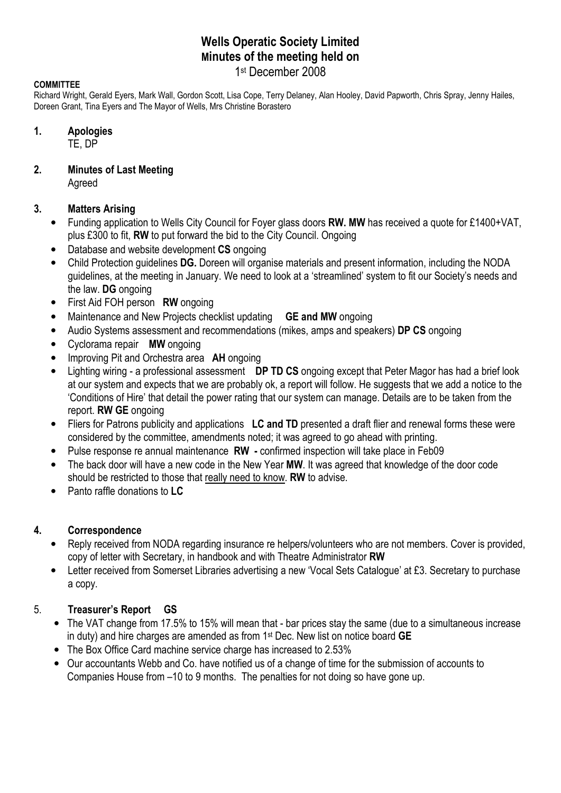# Wells Operatic Society Limited Minutes of the meeting held on

## 1 st December 2008

### **COMMITTEE**

Richard Wright, Gerald Eyers, Mark Wall, Gordon Scott, Lisa Cope, Terry Delaney, Alan Hooley, David Papworth, Chris Spray, Jenny Hailes, Doreen Grant, Tina Eyers and The Mayor of Wells, Mrs Christine Borastero

#### 1. Apologies

TE, DP

## 2. Minutes of Last Meeting

Agreed

## 3. Matters Arising

- Funding application to Wells City Council for Foyer glass doors RW. MW has received a quote for £1400+VAT, plus £300 to fit, RW to put forward the bid to the City Council. Ongoing
- Database and website development CS ongoing
- Child Protection guidelines DG. Doreen will organise materials and present information, including the NODA guidelines, at the meeting in January. We need to look at a 'streamlined' system to fit our Society's needs and the law. DG ongoing
- First Aid FOH person RW ongoing
- Maintenance and New Projects checklist updating **GE and MW** ongoing
- Audio Systems assessment and recommendations (mikes, amps and speakers) DP CS ongoing
- Cyclorama repair MW ongoing
- Improving Pit and Orchestra area **AH** ongoing
- Lighting wiring a professional assessment DP TD CS ongoing except that Peter Magor has had a brief look at our system and expects that we are probably ok, a report will follow. He suggests that we add a notice to the 'Conditions of Hire' that detail the power rating that our system can manage. Details are to be taken from the report. RW GE ongoing
- Fliers for Patrons publicity and applications LC and TD presented a draft flier and renewal forms these were considered by the committee, amendments noted; it was agreed to go ahead with printing.
- Pulse response re annual maintenance RW confirmed inspection will take place in Feb09
- The back door will have a new code in the New Year MW. It was agreed that knowledge of the door code should be restricted to those that really need to know. RW to advise.
- Panto raffle donations to LC

## 4. Correspondence

- Reply received from NODA regarding insurance re helpers/volunteers who are not members. Cover is provided, copy of letter with Secretary, in handbook and with Theatre Administrator RW
- Letter received from Somerset Libraries advertising a new 'Vocal Sets Catalogue' at £3. Secretary to purchase a copy.

## 5. Treasurer's Report GS

- The VAT change from 17.5% to 15% will mean that bar prices stay the same (due to a simultaneous increase in duty) and hire charges are amended as from 1st Dec. New list on notice board GE
- The Box Office Card machine service charge has increased to 2.53%
- Our accountants Webb and Co. have notified us of a change of time for the submission of accounts to Companies House from –10 to 9 months. The penalties for not doing so have gone up.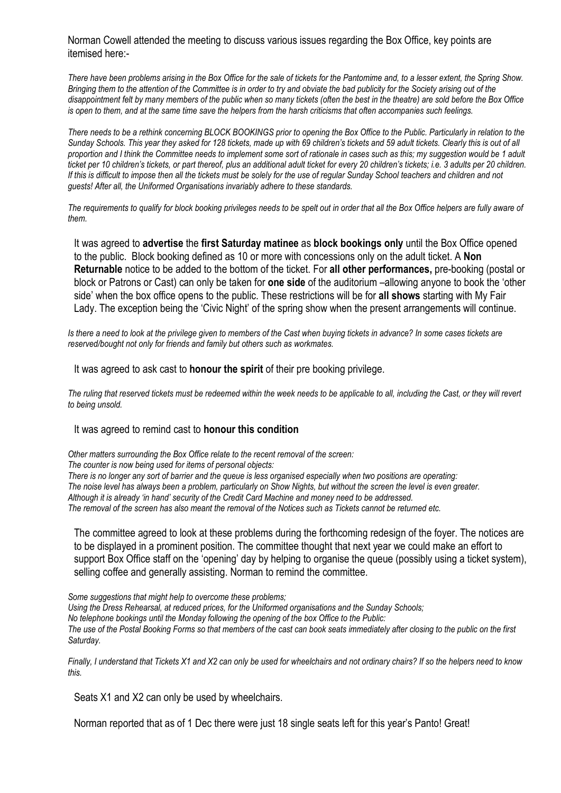Norman Cowell attended the meeting to discuss various issues regarding the Box Office, key points are itemised here:-

There have been problems arising in the Box Office for the sale of tickets for the Pantomime and, to a lesser extent, the Spring Show. Bringing them to the attention of the Committee is in order to try and obviate the bad publicity for the Society arising out of the disappointment felt by many members of the public when so many tickets (often the best in the theatre) are sold before the Box Office is open to them, and at the same time save the helpers from the harsh criticisms that often accompanies such feelings.

There needs to be a rethink concerning BLOCK BOOKINGS prior to opening the Box Office to the Public. Particularly in relation to the Sunday Schools. This year they asked for 128 tickets, made up with 69 children's tickets and 59 adult tickets. Clearly this is out of all proportion and I think the Committee needs to implement some sort of rationale in cases such as this; my suggestion would be 1 adult ticket per 10 children's tickets, or part thereof, plus an additional adult ticket for every 20 children's tickets; i.e. 3 adults per 20 children. If this is difficult to impose then all the tickets must be solely for the use of regular Sunday School teachers and children and not guests! After all, the Uniformed Organisations invariably adhere to these standards.

The requirements to qualify for block booking privileges needs to be spelt out in order that all the Box Office helpers are fully aware of them.

It was agreed to advertise the first Saturday matinee as block bookings only until the Box Office opened to the public. Block booking defined as 10 or more with concessions only on the adult ticket. A Non Returnable notice to be added to the bottom of the ticket. For all other performances, pre-booking (postal or block or Patrons or Cast) can only be taken for one side of the auditorium –allowing anyone to book the 'other side' when the box office opens to the public. These restrictions will be for all shows starting with My Fair Lady. The exception being the 'Civic Night' of the spring show when the present arrangements will continue.

Is there a need to look at the privilege given to members of the Cast when buying tickets in advance? In some cases tickets are reserved/bought not only for friends and family but others such as workmates.

It was agreed to ask cast to **honour the spirit** of their pre booking privilege.

The ruling that reserved tickets must be redeemed within the week needs to be applicable to all, including the Cast, or they will revert to being unsold.

#### It was agreed to remind cast to honour this condition

Other matters surrounding the Box Office relate to the recent removal of the screen: The counter is now being used for items of personal objects: There is no longer any sort of barrier and the queue is less organised especially when two positions are operating: The noise level has always been a problem, particularly on Show Nights, but without the screen the level is even greater. Although it is already 'in hand' security of the Credit Card Machine and money need to be addressed. The removal of the screen has also meant the removal of the Notices such as Tickets cannot be returned etc.

The committee agreed to look at these problems during the forthcoming redesign of the foyer. The notices are to be displayed in a prominent position. The committee thought that next year we could make an effort to support Box Office staff on the 'opening' day by helping to organise the queue (possibly using a ticket system), selling coffee and generally assisting. Norman to remind the committee.

Some suggestions that might help to overcome these problems; Using the Dress Rehearsal, at reduced prices, for the Uniformed organisations and the Sunday Schools; No telephone bookings until the Monday following the opening of the box Office to the Public: The use of the Postal Booking Forms so that members of the cast can book seats immediately after closing to the public on the first Saturday.

Finally, I understand that Tickets X1 and X2 can only be used for wheelchairs and not ordinary chairs? If so the helpers need to know this.

Seats X1 and X2 can only be used by wheelchairs.

Norman reported that as of 1 Dec there were just 18 single seats left for this year's Panto! Great!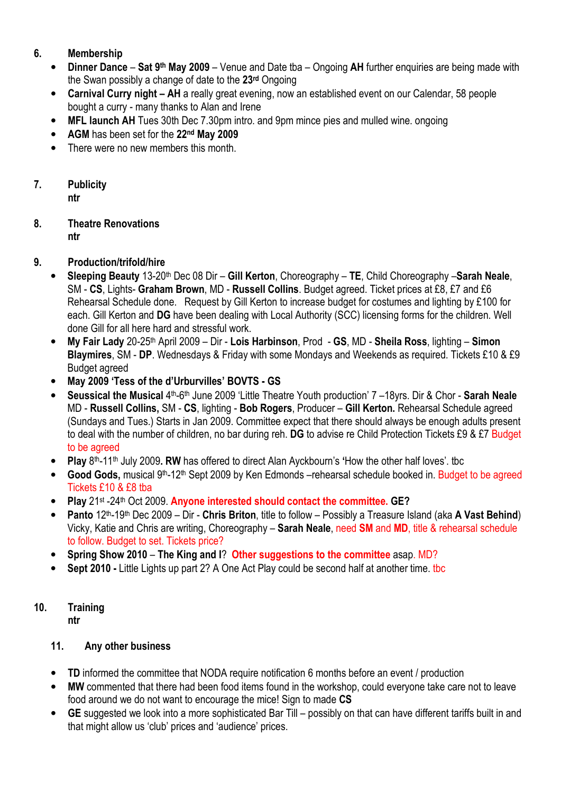# 6. Membership

- Dinner Dance Sat 9<sup>th</sup> May 2009 Venue and Date tba Ongoing AH further enquiries are being made with the Swan possibly a change of date to the 23rd Ongoing
- Carnival Curry night AH a really great evening, now an established event on our Calendar, 58 people bought a curry - many thanks to Alan and Irene
- MFL launch AH Tues 30th Dec 7.30pm intro. and 9pm mince pies and mulled wine. ongoing
- AGM has been set for the 22<sup>nd</sup> May 2009
- There were no new members this month.

# 7. Publicity

ntr

## 8. Theatre Renovations ntr

## 9. Production/trifold/hire

- Sleeping Beauty 13-20<sup>th</sup> Dec 08 Dir Gill Kerton, Choreography TE, Child Choreography Sarah Neale, SM - CS, Lights- Graham Brown, MD - Russell Collins. Budget agreed. Ticket prices at £8, £7 and £6 Rehearsal Schedule done. Request by Gill Kerton to increase budget for costumes and lighting by £100 for each. Gill Kerton and DG have been dealing with Local Authority (SCC) licensing forms for the children. Well done Gill for all here hard and stressful work.
- My Fair Lady 20-25<sup>th</sup> April 2009 Dir Lois Harbinson, Prod GS, MD Sheila Ross, lighting Simon Blaymires, SM - DP. Wednesdays & Friday with some Mondays and Weekends as required. Tickets £10 & £9 Budget agreed
- May 2009 'Tess of the d'Urburvilles' BOVTS GS
- Seussical the Musical 4<sup>th</sup>-6<sup>th</sup> June 2009 'Little Theatre Youth production' 7 -18yrs. Dir & Chor Sarah Neale MD - Russell Collins, SM - CS, lighting - Bob Rogers, Producer – Gill Kerton. Rehearsal Schedule agreed (Sundays and Tues.) Starts in Jan 2009. Committee expect that there should always be enough adults present to deal with the number of children, no bar during reh. DG to advise re Child Protection Tickets £9 & £7 Budget to be agreed
- Play 8<sup>th</sup>-11<sup>th</sup> July 2009. RW has offered to direct Alan Ayckbourn's 'How the other half loves'. tbc
- Good Gods, musical 9<sup>th</sup>-12<sup>th</sup> Sept 2009 by Ken Edmonds –rehearsal schedule booked in. Budget to be agreed Tickets £10 & £8 tba
- Play 21st -24th Oct 2009. Anyone interested should contact the committee. GE?
- Panto 12th-19th Dec 2009 Dir Chris Briton, title to follow Possibly a Treasure Island (aka A Vast Behind) Vicky, Katie and Chris are writing, Choreography – Sarah Neale, need SM and MD, title & rehearsal schedule to follow. Budget to set. Tickets price?
- Spring Show 2010 The King and I? Other suggestions to the committee asap. MD?
- Sept 2010 Little Lights up part 2? A One Act Play could be second half at another time. tbc

#### 10. Training ntr

# 11. Any other business

- TD informed the committee that NODA require notification 6 months before an event / production
- MW commented that there had been food items found in the workshop, could everyone take care not to leave food around we do not want to encourage the mice! Sign to made CS
- GE suggested we look into a more sophisticated Bar Till possibly on that can have different tariffs built in and that might allow us 'club' prices and 'audience' prices.